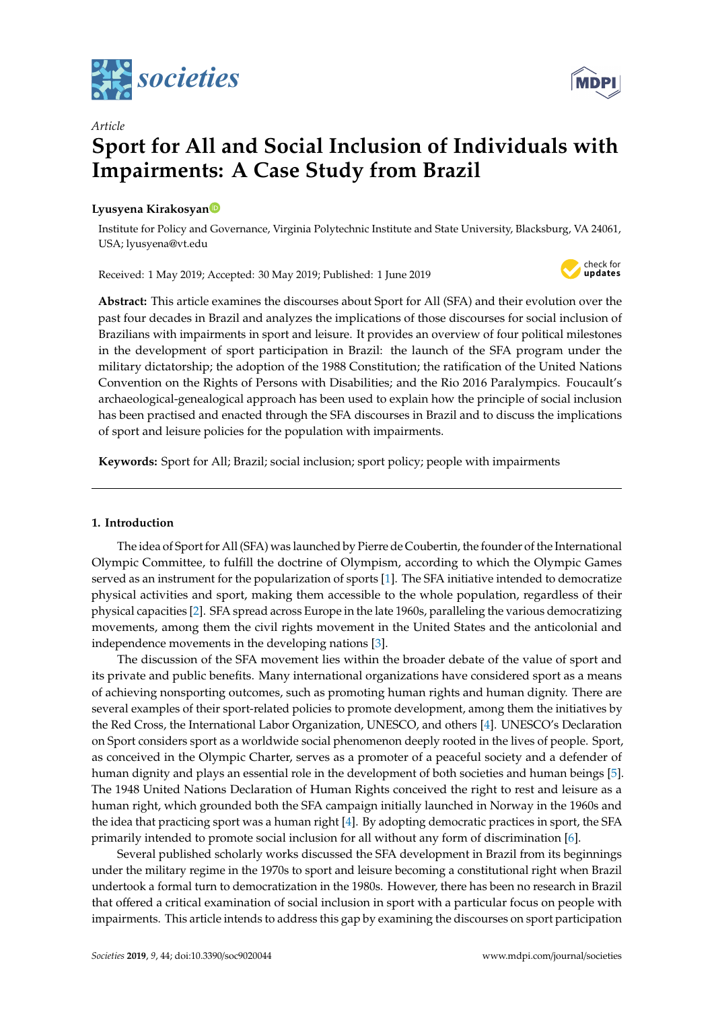

# *Article* **Sport for All and Social Inclusion of Individuals with Impairments: A Case Study from Brazil**

# **Lyusyena Kirakosya[n](https://orcid.org/0000-0002-0965-7688)**

Institute for Policy and Governance, Virginia Polytechnic Institute and State University, Blacksburg, VA 24061, USA; lyusyena@vt.edu

Received: 1 May 2019; Accepted: 30 May 2019; Published: 1 June 2019



**Abstract:** This article examines the discourses about Sport for All (SFA) and their evolution over the past four decades in Brazil and analyzes the implications of those discourses for social inclusion of Brazilians with impairments in sport and leisure. It provides an overview of four political milestones in the development of sport participation in Brazil: the launch of the SFA program under the military dictatorship; the adoption of the 1988 Constitution; the ratification of the United Nations Convention on the Rights of Persons with Disabilities; and the Rio 2016 Paralympics. Foucault's archaeological-genealogical approach has been used to explain how the principle of social inclusion has been practised and enacted through the SFA discourses in Brazil and to discuss the implications of sport and leisure policies for the population with impairments.

**Keywords:** Sport for All; Brazil; social inclusion; sport policy; people with impairments

# **1. Introduction**

The idea of Sport for All (SFA) was launched by Pierre de Coubertin, the founder of the International Olympic Committee, to fulfill the doctrine of Olympism, according to which the Olympic Games served as an instrument for the popularization of sports [\[1\]](#page-10-0). The SFA initiative intended to democratize physical activities and sport, making them accessible to the whole population, regardless of their physical capacities [\[2\]](#page-10-1). SFA spread across Europe in the late 1960s, paralleling the various democratizing movements, among them the civil rights movement in the United States and the anticolonial and independence movements in the developing nations [\[3\]](#page-10-2).

The discussion of the SFA movement lies within the broader debate of the value of sport and its private and public benefits. Many international organizations have considered sport as a means of achieving nonsporting outcomes, such as promoting human rights and human dignity. There are several examples of their sport-related policies to promote development, among them the initiatives by the Red Cross, the International Labor Organization, UNESCO, and others [\[4\]](#page-10-3). UNESCO's Declaration on Sport considers sport as a worldwide social phenomenon deeply rooted in the lives of people. Sport, as conceived in the Olympic Charter, serves as a promoter of a peaceful society and a defender of human dignity and plays an essential role in the development of both societies and human beings [\[5\]](#page-10-4). The 1948 United Nations Declaration of Human Rights conceived the right to rest and leisure as a human right, which grounded both the SFA campaign initially launched in Norway in the 1960s and the idea that practicing sport was a human right [\[4\]](#page-10-3). By adopting democratic practices in sport, the SFA primarily intended to promote social inclusion for all without any form of discrimination [\[6\]](#page-10-5).

Several published scholarly works discussed the SFA development in Brazil from its beginnings under the military regime in the 1970s to sport and leisure becoming a constitutional right when Brazil undertook a formal turn to democratization in the 1980s. However, there has been no research in Brazil that offered a critical examination of social inclusion in sport with a particular focus on people with impairments. This article intends to address this gap by examining the discourses on sport participation

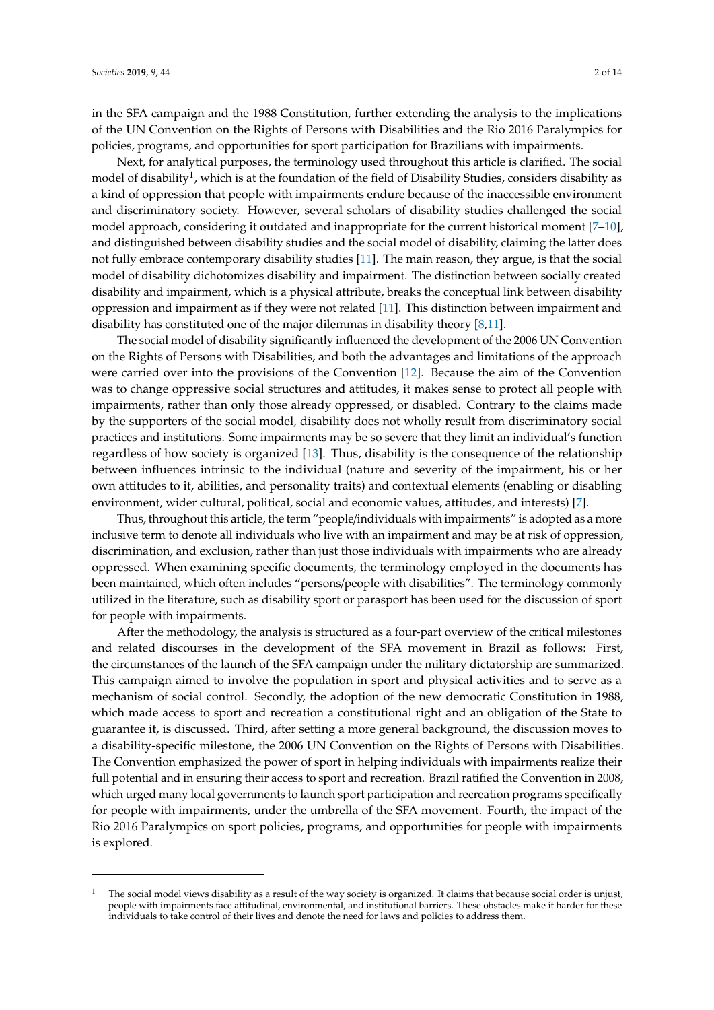in the SFA campaign and the 1988 Constitution, further extending the analysis to the implications of the UN Convention on the Rights of Persons with Disabilities and the Rio 2016 Paralympics for policies, programs, and opportunities for sport participation for Brazilians with impairments.

Next, for analytical purposes, the terminology used throughout this article is clarified. The social model of disability<sup>1</sup>, which is at the foundation of the field of Disability Studies, considers disability as a kind of oppression that people with impairments endure because of the inaccessible environment and discriminatory society. However, several scholars of disability studies challenged the social model approach, considering it outdated and inappropriate for the current historical moment [\[7](#page-10-6)[–10\]](#page-10-7), and distinguished between disability studies and the social model of disability, claiming the latter does not fully embrace contemporary disability studies [\[11\]](#page-10-8). The main reason, they argue, is that the social model of disability dichotomizes disability and impairment. The distinction between socially created disability and impairment, which is a physical attribute, breaks the conceptual link between disability oppression and impairment as if they were not related [\[11\]](#page-10-8). This distinction between impairment and disability has constituted one of the major dilemmas in disability theory [\[8](#page-10-9)[,11\]](#page-10-8).

The social model of disability significantly influenced the development of the 2006 UN Convention on the Rights of Persons with Disabilities, and both the advantages and limitations of the approach were carried over into the provisions of the Convention [\[12\]](#page-10-10). Because the aim of the Convention was to change oppressive social structures and attitudes, it makes sense to protect all people with impairments, rather than only those already oppressed, or disabled. Contrary to the claims made by the supporters of the social model, disability does not wholly result from discriminatory social practices and institutions. Some impairments may be so severe that they limit an individual's function regardless of how society is organized [\[13\]](#page-10-11). Thus, disability is the consequence of the relationship between influences intrinsic to the individual (nature and severity of the impairment, his or her own attitudes to it, abilities, and personality traits) and contextual elements (enabling or disabling environment, wider cultural, political, social and economic values, attitudes, and interests) [\[7\]](#page-10-6).

Thus, throughout this article, the term "people/individuals with impairments" is adopted as a more inclusive term to denote all individuals who live with an impairment and may be at risk of oppression, discrimination, and exclusion, rather than just those individuals with impairments who are already oppressed. When examining specific documents, the terminology employed in the documents has been maintained, which often includes "persons/people with disabilities". The terminology commonly utilized in the literature, such as disability sport or parasport has been used for the discussion of sport for people with impairments.

After the methodology, the analysis is structured as a four-part overview of the critical milestones and related discourses in the development of the SFA movement in Brazil as follows: First, the circumstances of the launch of the SFA campaign under the military dictatorship are summarized. This campaign aimed to involve the population in sport and physical activities and to serve as a mechanism of social control. Secondly, the adoption of the new democratic Constitution in 1988, which made access to sport and recreation a constitutional right and an obligation of the State to guarantee it, is discussed. Third, after setting a more general background, the discussion moves to a disability-specific milestone, the 2006 UN Convention on the Rights of Persons with Disabilities. The Convention emphasized the power of sport in helping individuals with impairments realize their full potential and in ensuring their access to sport and recreation. Brazil ratified the Convention in 2008, which urged many local governments to launch sport participation and recreation programs specifically for people with impairments, under the umbrella of the SFA movement. Fourth, the impact of the Rio 2016 Paralympics on sport policies, programs, and opportunities for people with impairments is explored.

<sup>1</sup> The social model views disability as a result of the way society is organized. It claims that because social order is unjust, people with impairments face attitudinal, environmental, and institutional barriers. These obstacles make it harder for these individuals to take control of their lives and denote the need for laws and policies to address them.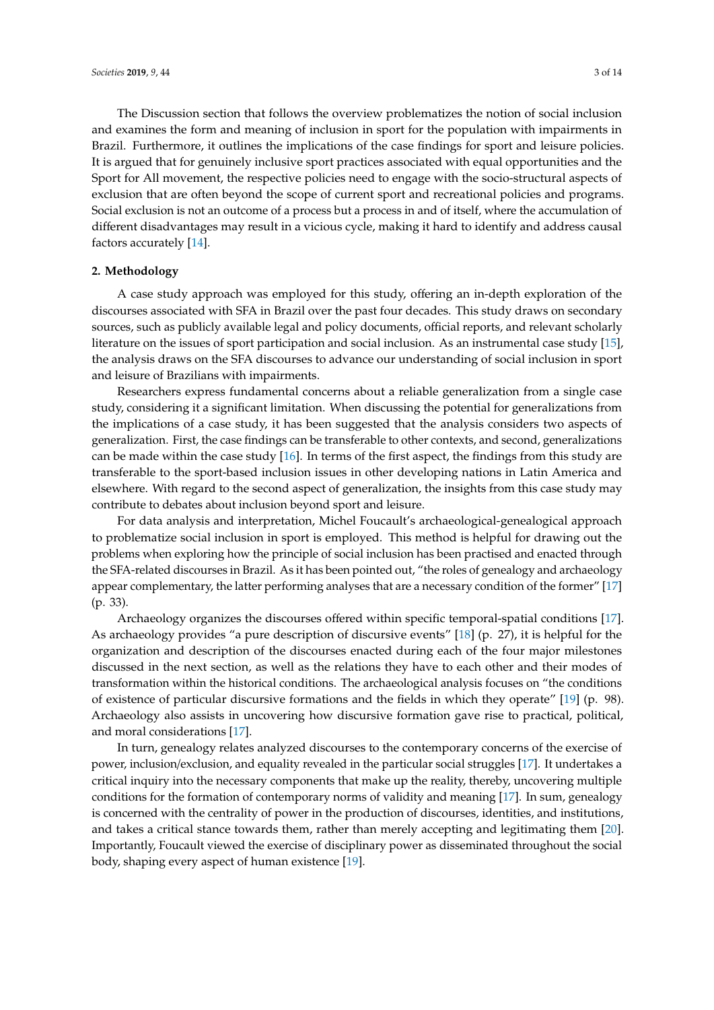The Discussion section that follows the overview problematizes the notion of social inclusion and examines the form and meaning of inclusion in sport for the population with impairments in Brazil. Furthermore, it outlines the implications of the case findings for sport and leisure policies. It is argued that for genuinely inclusive sport practices associated with equal opportunities and the Sport for All movement, the respective policies need to engage with the socio-structural aspects of exclusion that are often beyond the scope of current sport and recreational policies and programs. Social exclusion is not an outcome of a process but a process in and of itself, where the accumulation of different disadvantages may result in a vicious cycle, making it hard to identify and address causal factors accurately [\[14\]](#page-10-12).

# **2. Methodology**

A case study approach was employed for this study, offering an in-depth exploration of the discourses associated with SFA in Brazil over the past four decades. This study draws on secondary sources, such as publicly available legal and policy documents, official reports, and relevant scholarly literature on the issues of sport participation and social inclusion. As an instrumental case study [\[15\]](#page-11-0), the analysis draws on the SFA discourses to advance our understanding of social inclusion in sport and leisure of Brazilians with impairments.

Researchers express fundamental concerns about a reliable generalization from a single case study, considering it a significant limitation. When discussing the potential for generalizations from the implications of a case study, it has been suggested that the analysis considers two aspects of generalization. First, the case findings can be transferable to other contexts, and second, generalizations can be made within the case study [\[16\]](#page-11-1). In terms of the first aspect, the findings from this study are transferable to the sport-based inclusion issues in other developing nations in Latin America and elsewhere. With regard to the second aspect of generalization, the insights from this case study may contribute to debates about inclusion beyond sport and leisure.

For data analysis and interpretation, Michel Foucault's archaeological-genealogical approach to problematize social inclusion in sport is employed. This method is helpful for drawing out the problems when exploring how the principle of social inclusion has been practised and enacted through the SFA-related discourses in Brazil. As it has been pointed out, "the roles of genealogy and archaeology appear complementary, the latter performing analyses that are a necessary condition of the former" [\[17\]](#page-11-2) (p. 33).

Archaeology organizes the discourses offered within specific temporal-spatial conditions [\[17\]](#page-11-2). As archaeology provides "a pure description of discursive events" [\[18\]](#page-11-3) (p. 27), it is helpful for the organization and description of the discourses enacted during each of the four major milestones discussed in the next section, as well as the relations they have to each other and their modes of transformation within the historical conditions. The archaeological analysis focuses on "the conditions of existence of particular discursive formations and the fields in which they operate" [\[19\]](#page-11-4) (p. 98). Archaeology also assists in uncovering how discursive formation gave rise to practical, political, and moral considerations [\[17\]](#page-11-2).

In turn, genealogy relates analyzed discourses to the contemporary concerns of the exercise of power, inclusion/exclusion, and equality revealed in the particular social struggles [\[17\]](#page-11-2). It undertakes a critical inquiry into the necessary components that make up the reality, thereby, uncovering multiple conditions for the formation of contemporary norms of validity and meaning [\[17\]](#page-11-2). In sum, genealogy is concerned with the centrality of power in the production of discourses, identities, and institutions, and takes a critical stance towards them, rather than merely accepting and legitimating them [\[20\]](#page-11-5). Importantly, Foucault viewed the exercise of disciplinary power as disseminated throughout the social body, shaping every aspect of human existence [\[19\]](#page-11-4).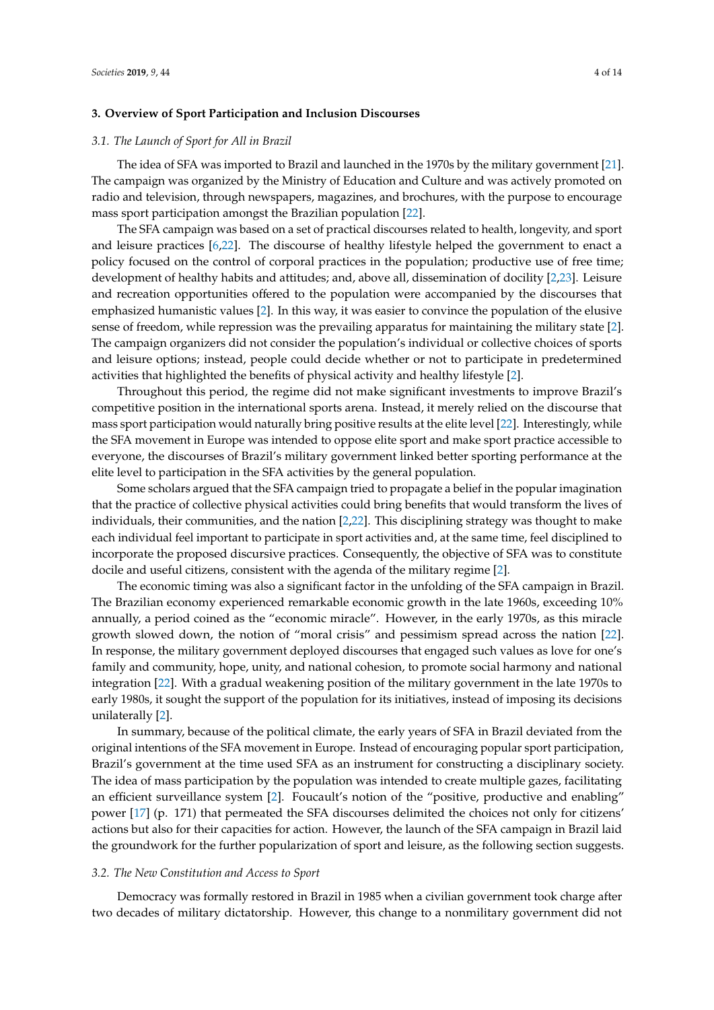# **3. Overview of Sport Participation and Inclusion Discourses**

#### *3.1. The Launch of Sport for All in Brazil*

The idea of SFA was imported to Brazil and launched in the 1970s by the military government [\[21\]](#page-11-6). The campaign was organized by the Ministry of Education and Culture and was actively promoted on radio and television, through newspapers, magazines, and brochures, with the purpose to encourage mass sport participation amongst the Brazilian population [\[22\]](#page-11-7).

The SFA campaign was based on a set of practical discourses related to health, longevity, and sport and leisure practices [\[6](#page-10-5)[,22\]](#page-11-7). The discourse of healthy lifestyle helped the government to enact a policy focused on the control of corporal practices in the population; productive use of free time; development of healthy habits and attitudes; and, above all, dissemination of docility [\[2](#page-10-1)[,23\]](#page-11-8). Leisure and recreation opportunities offered to the population were accompanied by the discourses that emphasized humanistic values [\[2\]](#page-10-1). In this way, it was easier to convince the population of the elusive sense of freedom, while repression was the prevailing apparatus for maintaining the military state [\[2\]](#page-10-1). The campaign organizers did not consider the population's individual or collective choices of sports and leisure options; instead, people could decide whether or not to participate in predetermined activities that highlighted the benefits of physical activity and healthy lifestyle [\[2\]](#page-10-1).

Throughout this period, the regime did not make significant investments to improve Brazil's competitive position in the international sports arena. Instead, it merely relied on the discourse that mass sport participation would naturally bring positive results at the elite level [\[22\]](#page-11-7). Interestingly, while the SFA movement in Europe was intended to oppose elite sport and make sport practice accessible to everyone, the discourses of Brazil's military government linked better sporting performance at the elite level to participation in the SFA activities by the general population.

Some scholars argued that the SFA campaign tried to propagate a belief in the popular imagination that the practice of collective physical activities could bring benefits that would transform the lives of individuals, their communities, and the nation [\[2](#page-10-1)[,22\]](#page-11-7). This disciplining strategy was thought to make each individual feel important to participate in sport activities and, at the same time, feel disciplined to incorporate the proposed discursive practices. Consequently, the objective of SFA was to constitute docile and useful citizens, consistent with the agenda of the military regime [\[2\]](#page-10-1).

The economic timing was also a significant factor in the unfolding of the SFA campaign in Brazil. The Brazilian economy experienced remarkable economic growth in the late 1960s, exceeding 10% annually, a period coined as the "economic miracle". However, in the early 1970s, as this miracle growth slowed down, the notion of "moral crisis" and pessimism spread across the nation [\[22\]](#page-11-7). In response, the military government deployed discourses that engaged such values as love for one's family and community, hope, unity, and national cohesion, to promote social harmony and national integration [\[22\]](#page-11-7). With a gradual weakening position of the military government in the late 1970s to early 1980s, it sought the support of the population for its initiatives, instead of imposing its decisions unilaterally [\[2\]](#page-10-1).

In summary, because of the political climate, the early years of SFA in Brazil deviated from the original intentions of the SFA movement in Europe. Instead of encouraging popular sport participation, Brazil's government at the time used SFA as an instrument for constructing a disciplinary society. The idea of mass participation by the population was intended to create multiple gazes, facilitating an efficient surveillance system [\[2\]](#page-10-1). Foucault's notion of the "positive, productive and enabling" power [\[17\]](#page-11-2) (p. 171) that permeated the SFA discourses delimited the choices not only for citizens' actions but also for their capacities for action. However, the launch of the SFA campaign in Brazil laid the groundwork for the further popularization of sport and leisure, as the following section suggests.

#### *3.2. The New Constitution and Access to Sport*

Democracy was formally restored in Brazil in 1985 when a civilian government took charge after two decades of military dictatorship. However, this change to a nonmilitary government did not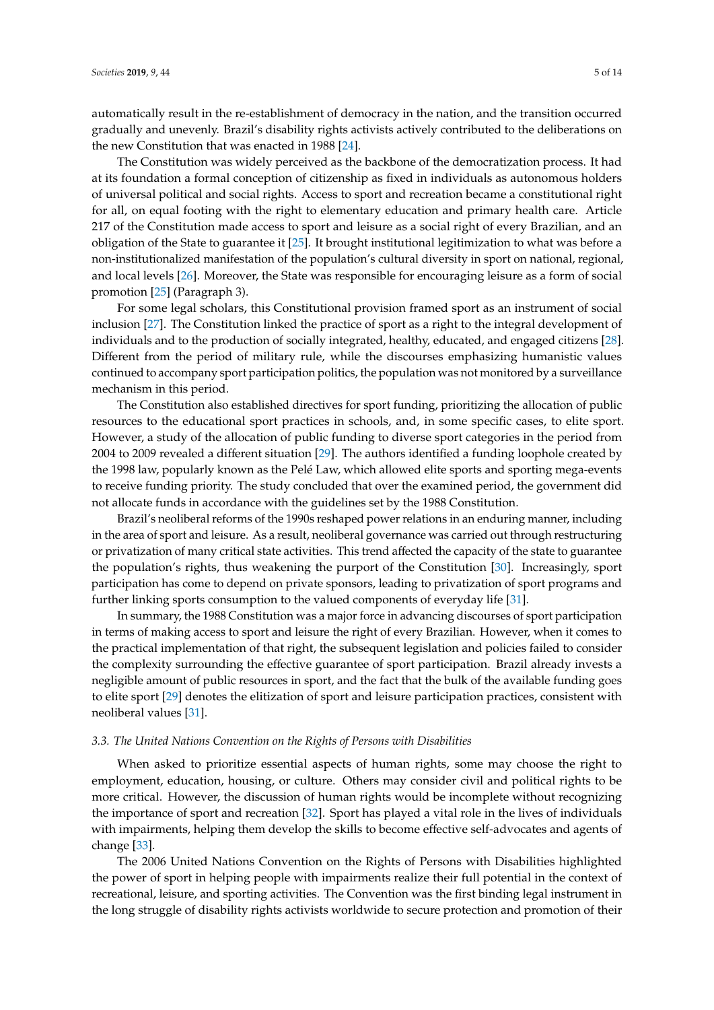automatically result in the re-establishment of democracy in the nation, and the transition occurred gradually and unevenly. Brazil's disability rights activists actively contributed to the deliberations on the new Constitution that was enacted in 1988 [\[24\]](#page-11-9).

The Constitution was widely perceived as the backbone of the democratization process. It had at its foundation a formal conception of citizenship as fixed in individuals as autonomous holders of universal political and social rights. Access to sport and recreation became a constitutional right for all, on equal footing with the right to elementary education and primary health care. Article 217 of the Constitution made access to sport and leisure as a social right of every Brazilian, and an obligation of the State to guarantee it [\[25\]](#page-11-10). It brought institutional legitimization to what was before a non-institutionalized manifestation of the population's cultural diversity in sport on national, regional, and local levels [\[26\]](#page-11-11). Moreover, the State was responsible for encouraging leisure as a form of social promotion [\[25\]](#page-11-10) (Paragraph 3).

For some legal scholars, this Constitutional provision framed sport as an instrument of social inclusion [\[27\]](#page-11-12). The Constitution linked the practice of sport as a right to the integral development of individuals and to the production of socially integrated, healthy, educated, and engaged citizens [\[28\]](#page-11-13). Different from the period of military rule, while the discourses emphasizing humanistic values continued to accompany sport participation politics, the population was not monitored by a surveillance mechanism in this period.

The Constitution also established directives for sport funding, prioritizing the allocation of public resources to the educational sport practices in schools, and, in some specific cases, to elite sport. However, a study of the allocation of public funding to diverse sport categories in the period from 2004 to 2009 revealed a different situation [\[29\]](#page-11-14). The authors identified a funding loophole created by the 1998 law, popularly known as the Pelé Law, which allowed elite sports and sporting mega-events to receive funding priority. The study concluded that over the examined period, the government did not allocate funds in accordance with the guidelines set by the 1988 Constitution.

Brazil's neoliberal reforms of the 1990s reshaped power relations in an enduring manner, including in the area of sport and leisure. As a result, neoliberal governance was carried out through restructuring or privatization of many critical state activities. This trend affected the capacity of the state to guarantee the population's rights, thus weakening the purport of the Constitution [\[30\]](#page-11-15). Increasingly, sport participation has come to depend on private sponsors, leading to privatization of sport programs and further linking sports consumption to the valued components of everyday life [\[31\]](#page-11-16).

In summary, the 1988 Constitution was a major force in advancing discourses of sport participation in terms of making access to sport and leisure the right of every Brazilian. However, when it comes to the practical implementation of that right, the subsequent legislation and policies failed to consider the complexity surrounding the effective guarantee of sport participation. Brazil already invests a negligible amount of public resources in sport, and the fact that the bulk of the available funding goes to elite sport [\[29\]](#page-11-14) denotes the elitization of sport and leisure participation practices, consistent with neoliberal values [\[31\]](#page-11-16).

## *3.3. The United Nations Convention on the Rights of Persons with Disabilities*

When asked to prioritize essential aspects of human rights, some may choose the right to employment, education, housing, or culture. Others may consider civil and political rights to be more critical. However, the discussion of human rights would be incomplete without recognizing the importance of sport and recreation [\[32\]](#page-11-17). Sport has played a vital role in the lives of individuals with impairments, helping them develop the skills to become effective self-advocates and agents of change [\[33\]](#page-11-18).

The 2006 United Nations Convention on the Rights of Persons with Disabilities highlighted the power of sport in helping people with impairments realize their full potential in the context of recreational, leisure, and sporting activities. The Convention was the first binding legal instrument in the long struggle of disability rights activists worldwide to secure protection and promotion of their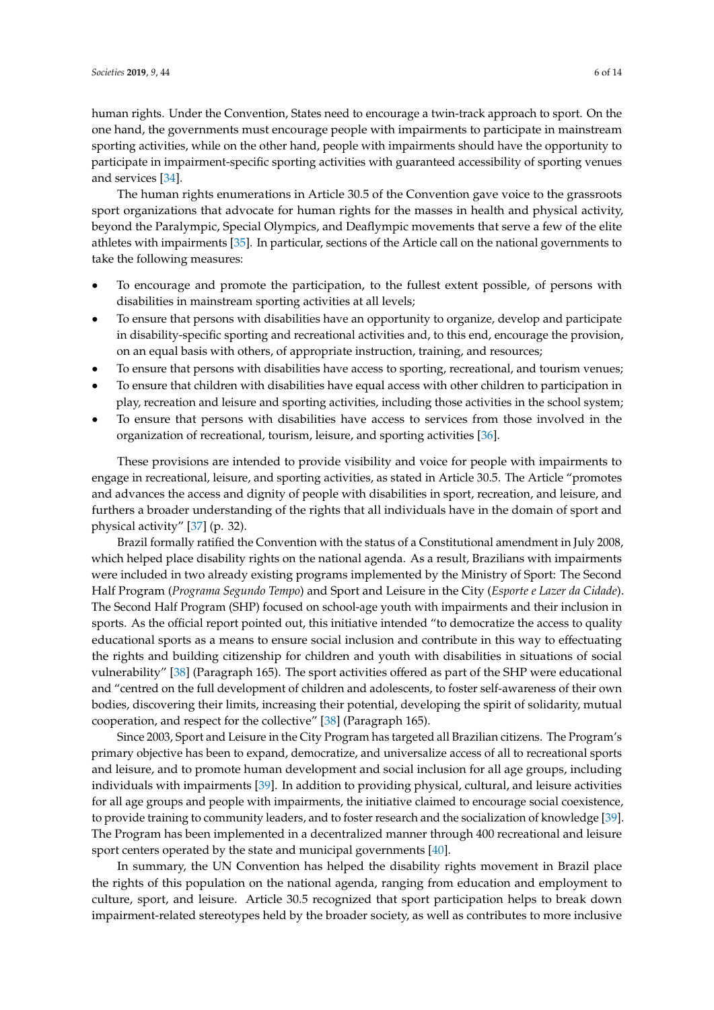human rights. Under the Convention, States need to encourage a twin-track approach to sport. On the one hand, the governments must encourage people with impairments to participate in mainstream sporting activities, while on the other hand, people with impairments should have the opportunity to participate in impairment-specific sporting activities with guaranteed accessibility of sporting venues and services [\[34\]](#page-11-19).

The human rights enumerations in Article 30.5 of the Convention gave voice to the grassroots sport organizations that advocate for human rights for the masses in health and physical activity, beyond the Paralympic, Special Olympics, and Deaflympic movements that serve a few of the elite athletes with impairments [\[35\]](#page-12-0). In particular, sections of the Article call on the national governments to take the following measures:

- To encourage and promote the participation, to the fullest extent possible, of persons with disabilities in mainstream sporting activities at all levels;
- To ensure that persons with disabilities have an opportunity to organize, develop and participate in disability-specific sporting and recreational activities and, to this end, encourage the provision, on an equal basis with others, of appropriate instruction, training, and resources;
- To ensure that persons with disabilities have access to sporting, recreational, and tourism venues;
- To ensure that children with disabilities have equal access with other children to participation in play, recreation and leisure and sporting activities, including those activities in the school system;
- To ensure that persons with disabilities have access to services from those involved in the organization of recreational, tourism, leisure, and sporting activities [\[36\]](#page-12-1).

These provisions are intended to provide visibility and voice for people with impairments to engage in recreational, leisure, and sporting activities, as stated in Article 30.5. The Article "promotes and advances the access and dignity of people with disabilities in sport, recreation, and leisure, and furthers a broader understanding of the rights that all individuals have in the domain of sport and physical activity" [\[37\]](#page-12-2) (p. 32).

Brazil formally ratified the Convention with the status of a Constitutional amendment in July 2008, which helped place disability rights on the national agenda. As a result, Brazilians with impairments were included in two already existing programs implemented by the Ministry of Sport: The Second Half Program (*Programa Segundo Tempo*) and Sport and Leisure in the City (*Esporte e Lazer da Cidade*). The Second Half Program (SHP) focused on school-age youth with impairments and their inclusion in sports. As the official report pointed out, this initiative intended "to democratize the access to quality educational sports as a means to ensure social inclusion and contribute in this way to effectuating the rights and building citizenship for children and youth with disabilities in situations of social vulnerability" [\[38\]](#page-12-3) (Paragraph 165). The sport activities offered as part of the SHP were educational and "centred on the full development of children and adolescents, to foster self-awareness of their own bodies, discovering their limits, increasing their potential, developing the spirit of solidarity, mutual cooperation, and respect for the collective" [\[38\]](#page-12-3) (Paragraph 165).

Since 2003, Sport and Leisure in the City Program has targeted all Brazilian citizens. The Program's primary objective has been to expand, democratize, and universalize access of all to recreational sports and leisure, and to promote human development and social inclusion for all age groups, including individuals with impairments [\[39\]](#page-12-4). In addition to providing physical, cultural, and leisure activities for all age groups and people with impairments, the initiative claimed to encourage social coexistence, to provide training to community leaders, and to foster research and the socialization of knowledge [\[39\]](#page-12-4). The Program has been implemented in a decentralized manner through 400 recreational and leisure sport centers operated by the state and municipal governments [\[40\]](#page-12-5).

In summary, the UN Convention has helped the disability rights movement in Brazil place the rights of this population on the national agenda, ranging from education and employment to culture, sport, and leisure. Article 30.5 recognized that sport participation helps to break down impairment-related stereotypes held by the broader society, as well as contributes to more inclusive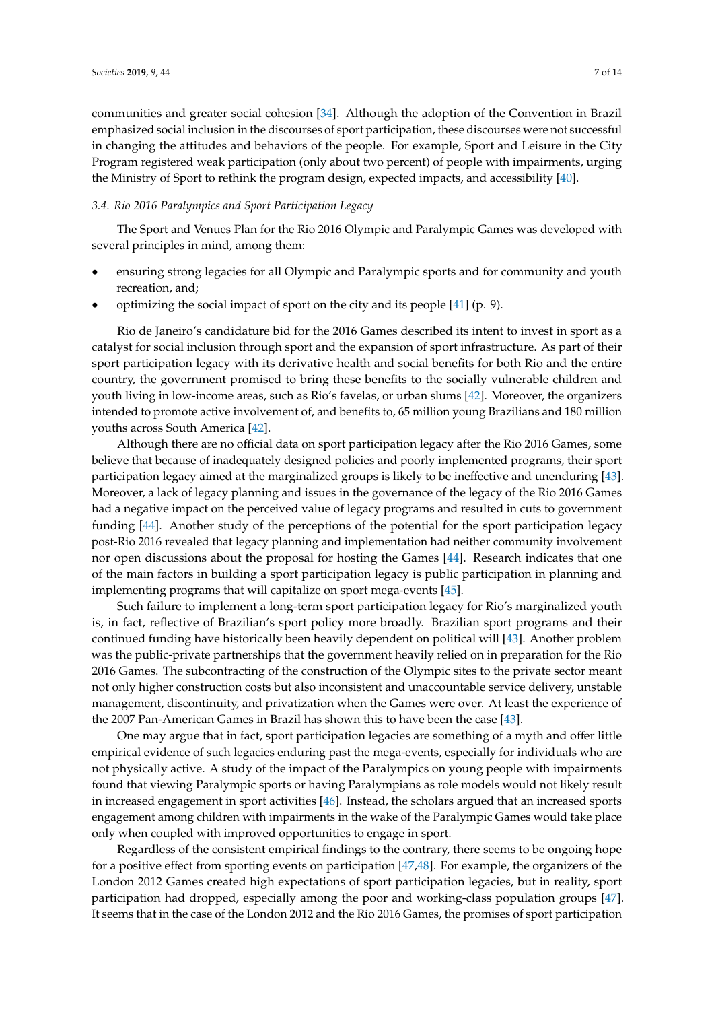communities and greater social cohesion [\[34\]](#page-11-19). Although the adoption of the Convention in Brazil emphasized social inclusion in the discourses of sport participation, these discourses were not successful in changing the attitudes and behaviors of the people. For example, Sport and Leisure in the City Program registered weak participation (only about two percent) of people with impairments, urging the Ministry of Sport to rethink the program design, expected impacts, and accessibility [\[40\]](#page-12-5).

# *3.4. Rio 2016 Paralympics and Sport Participation Legacy*

The Sport and Venues Plan for the Rio 2016 Olympic and Paralympic Games was developed with several principles in mind, among them:

- ensuring strong legacies for all Olympic and Paralympic sports and for community and youth recreation, and;
- optimizing the social impact of sport on the city and its people [\[41\]](#page-12-6) (p. 9).

Rio de Janeiro's candidature bid for the 2016 Games described its intent to invest in sport as a catalyst for social inclusion through sport and the expansion of sport infrastructure. As part of their sport participation legacy with its derivative health and social benefits for both Rio and the entire country, the government promised to bring these benefits to the socially vulnerable children and youth living in low-income areas, such as Rio's favelas, or urban slums [\[42\]](#page-12-7). Moreover, the organizers intended to promote active involvement of, and benefits to, 65 million young Brazilians and 180 million youths across South America [\[42\]](#page-12-7).

Although there are no official data on sport participation legacy after the Rio 2016 Games, some believe that because of inadequately designed policies and poorly implemented programs, their sport participation legacy aimed at the marginalized groups is likely to be ineffective and unenduring [\[43\]](#page-12-8). Moreover, a lack of legacy planning and issues in the governance of the legacy of the Rio 2016 Games had a negative impact on the perceived value of legacy programs and resulted in cuts to government funding [\[44\]](#page-12-9). Another study of the perceptions of the potential for the sport participation legacy post-Rio 2016 revealed that legacy planning and implementation had neither community involvement nor open discussions about the proposal for hosting the Games [\[44\]](#page-12-9). Research indicates that one of the main factors in building a sport participation legacy is public participation in planning and implementing programs that will capitalize on sport mega-events [\[45\]](#page-12-10).

Such failure to implement a long-term sport participation legacy for Rio's marginalized youth is, in fact, reflective of Brazilian's sport policy more broadly. Brazilian sport programs and their continued funding have historically been heavily dependent on political will [\[43\]](#page-12-8). Another problem was the public-private partnerships that the government heavily relied on in preparation for the Rio 2016 Games. The subcontracting of the construction of the Olympic sites to the private sector meant not only higher construction costs but also inconsistent and unaccountable service delivery, unstable management, discontinuity, and privatization when the Games were over. At least the experience of the 2007 Pan-American Games in Brazil has shown this to have been the case [\[43\]](#page-12-8).

One may argue that in fact, sport participation legacies are something of a myth and offer little empirical evidence of such legacies enduring past the mega-events, especially for individuals who are not physically active. A study of the impact of the Paralympics on young people with impairments found that viewing Paralympic sports or having Paralympians as role models would not likely result in increased engagement in sport activities [\[46\]](#page-12-11). Instead, the scholars argued that an increased sports engagement among children with impairments in the wake of the Paralympic Games would take place only when coupled with improved opportunities to engage in sport.

Regardless of the consistent empirical findings to the contrary, there seems to be ongoing hope for a positive effect from sporting events on participation [\[47,](#page-12-12)[48\]](#page-12-13). For example, the organizers of the London 2012 Games created high expectations of sport participation legacies, but in reality, sport participation had dropped, especially among the poor and working-class population groups [\[47\]](#page-12-12). It seems that in the case of the London 2012 and the Rio 2016 Games, the promises of sport participation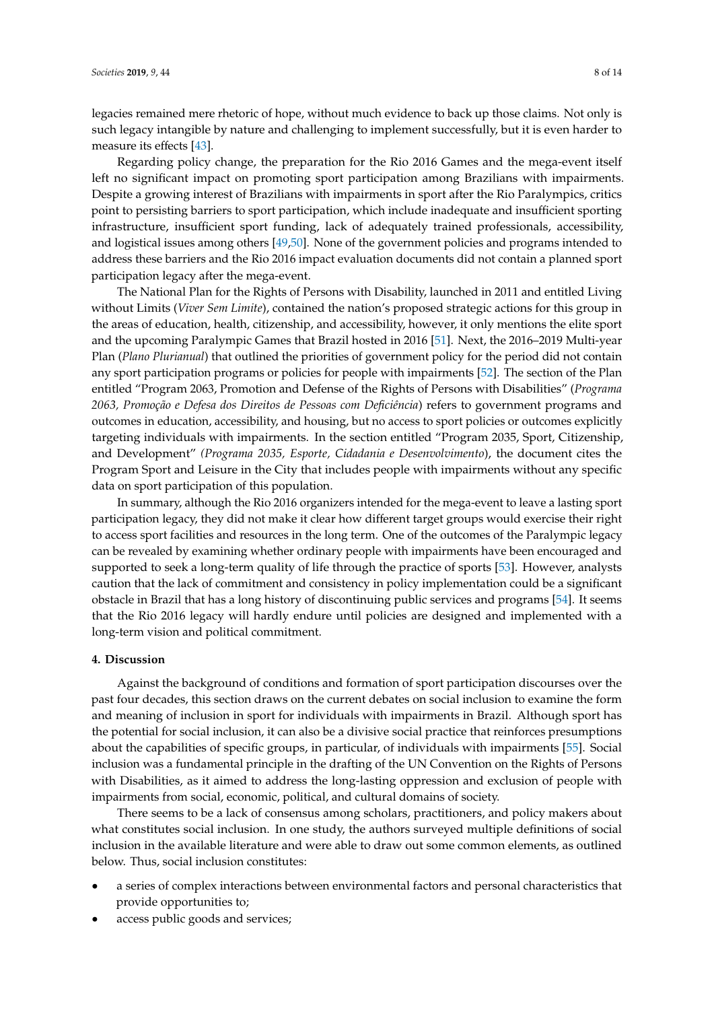legacies remained mere rhetoric of hope, without much evidence to back up those claims. Not only is such legacy intangible by nature and challenging to implement successfully, but it is even harder to measure its effects [\[43\]](#page-12-8).

Regarding policy change, the preparation for the Rio 2016 Games and the mega-event itself left no significant impact on promoting sport participation among Brazilians with impairments. Despite a growing interest of Brazilians with impairments in sport after the Rio Paralympics, critics point to persisting barriers to sport participation, which include inadequate and insufficient sporting infrastructure, insufficient sport funding, lack of adequately trained professionals, accessibility, and logistical issues among others [\[49,](#page-12-14)[50\]](#page-12-15). None of the government policies and programs intended to address these barriers and the Rio 2016 impact evaluation documents did not contain a planned sport participation legacy after the mega-event.

The National Plan for the Rights of Persons with Disability, launched in 2011 and entitled Living without Limits (*Viver Sem Limite*), contained the nation's proposed strategic actions for this group in the areas of education, health, citizenship, and accessibility, however, it only mentions the elite sport and the upcoming Paralympic Games that Brazil hosted in 2016 [\[51\]](#page-13-0). Next, the 2016–2019 Multi-year Plan (*Plano Plurianual*) that outlined the priorities of government policy for the period did not contain any sport participation programs or policies for people with impairments [\[52\]](#page-13-1). The section of the Plan entitled "Program 2063, Promotion and Defense of the Rights of Persons with Disabilities" (*Programa 2063, Promoção e Defesa dos Direitos de Pessoas com Deficiência*) refers to government programs and outcomes in education, accessibility, and housing, but no access to sport policies or outcomes explicitly targeting individuals with impairments. In the section entitled "Program 2035, Sport, Citizenship, and Development" *(Programa 2035, Esporte, Cidadania e Desenvolvimento*), the document cites the Program Sport and Leisure in the City that includes people with impairments without any specific data on sport participation of this population.

In summary, although the Rio 2016 organizers intended for the mega-event to leave a lasting sport participation legacy, they did not make it clear how different target groups would exercise their right to access sport facilities and resources in the long term. One of the outcomes of the Paralympic legacy can be revealed by examining whether ordinary people with impairments have been encouraged and supported to seek a long-term quality of life through the practice of sports [\[53\]](#page-13-2). However, analysts caution that the lack of commitment and consistency in policy implementation could be a significant obstacle in Brazil that has a long history of discontinuing public services and programs [\[54\]](#page-13-3). It seems that the Rio 2016 legacy will hardly endure until policies are designed and implemented with a long-term vision and political commitment.

# **4. Discussion**

Against the background of conditions and formation of sport participation discourses over the past four decades, this section draws on the current debates on social inclusion to examine the form and meaning of inclusion in sport for individuals with impairments in Brazil. Although sport has the potential for social inclusion, it can also be a divisive social practice that reinforces presumptions about the capabilities of specific groups, in particular, of individuals with impairments [\[55\]](#page-13-4). Social inclusion was a fundamental principle in the drafting of the UN Convention on the Rights of Persons with Disabilities, as it aimed to address the long-lasting oppression and exclusion of people with impairments from social, economic, political, and cultural domains of society.

There seems to be a lack of consensus among scholars, practitioners, and policy makers about what constitutes social inclusion. In one study, the authors surveyed multiple definitions of social inclusion in the available literature and were able to draw out some common elements, as outlined below. Thus, social inclusion constitutes:

- a series of complex interactions between environmental factors and personal characteristics that provide opportunities to;
- access public goods and services;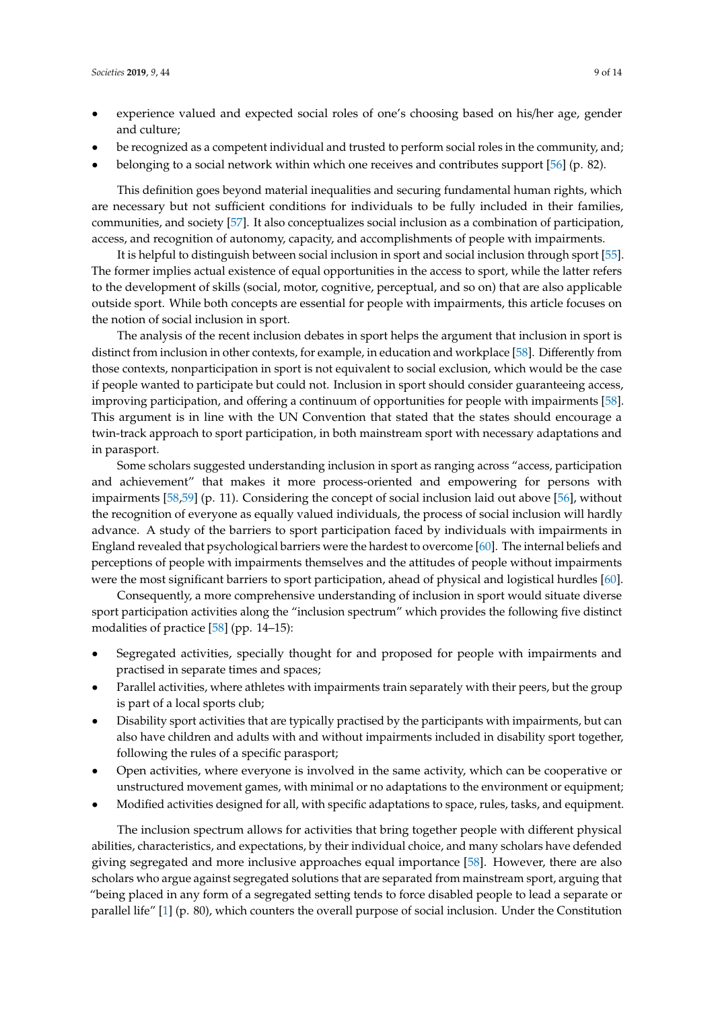- experience valued and expected social roles of one's choosing based on his/her age, gender and culture;
- be recognized as a competent individual and trusted to perform social roles in the community, and;
- belonging to a social network within which one receives and contributes support [\[56\]](#page-13-5) (p. 82).

This definition goes beyond material inequalities and securing fundamental human rights, which are necessary but not sufficient conditions for individuals to be fully included in their families, communities, and society [\[57\]](#page-13-6). It also conceptualizes social inclusion as a combination of participation, access, and recognition of autonomy, capacity, and accomplishments of people with impairments.

It is helpful to distinguish between social inclusion in sport and social inclusion through sport [\[55\]](#page-13-4). The former implies actual existence of equal opportunities in the access to sport, while the latter refers to the development of skills (social, motor, cognitive, perceptual, and so on) that are also applicable outside sport. While both concepts are essential for people with impairments, this article focuses on the notion of social inclusion in sport.

The analysis of the recent inclusion debates in sport helps the argument that inclusion in sport is distinct from inclusion in other contexts, for example, in education and workplace [\[58\]](#page-13-7). Differently from those contexts, nonparticipation in sport is not equivalent to social exclusion, which would be the case if people wanted to participate but could not. Inclusion in sport should consider guaranteeing access, improving participation, and offering a continuum of opportunities for people with impairments [\[58\]](#page-13-7). This argument is in line with the UN Convention that stated that the states should encourage a twin-track approach to sport participation, in both mainstream sport with necessary adaptations and in parasport.

Some scholars suggested understanding inclusion in sport as ranging across "access, participation and achievement" that makes it more process-oriented and empowering for persons with impairments [\[58](#page-13-7)[,59\]](#page-13-8) (p. 11). Considering the concept of social inclusion laid out above [\[56\]](#page-13-5), without the recognition of everyone as equally valued individuals, the process of social inclusion will hardly advance. A study of the barriers to sport participation faced by individuals with impairments in England revealed that psychological barriers were the hardest to overcome [\[60\]](#page-13-9). The internal beliefs and perceptions of people with impairments themselves and the attitudes of people without impairments were the most significant barriers to sport participation, ahead of physical and logistical hurdles [\[60\]](#page-13-9).

Consequently, a more comprehensive understanding of inclusion in sport would situate diverse sport participation activities along the "inclusion spectrum" which provides the following five distinct modalities of practice [\[58\]](#page-13-7) (pp. 14–15):

- Segregated activities, specially thought for and proposed for people with impairments and practised in separate times and spaces;
- Parallel activities, where athletes with impairments train separately with their peers, but the group is part of a local sports club;
- Disability sport activities that are typically practised by the participants with impairments, but can also have children and adults with and without impairments included in disability sport together, following the rules of a specific parasport;
- Open activities, where everyone is involved in the same activity, which can be cooperative or unstructured movement games, with minimal or no adaptations to the environment or equipment;
- Modified activities designed for all, with specific adaptations to space, rules, tasks, and equipment.

The inclusion spectrum allows for activities that bring together people with different physical abilities, characteristics, and expectations, by their individual choice, and many scholars have defended giving segregated and more inclusive approaches equal importance [\[58\]](#page-13-7). However, there are also scholars who argue against segregated solutions that are separated from mainstream sport, arguing that "being placed in any form of a segregated setting tends to force disabled people to lead a separate or parallel life" [\[1\]](#page-10-0) (p. 80), which counters the overall purpose of social inclusion. Under the Constitution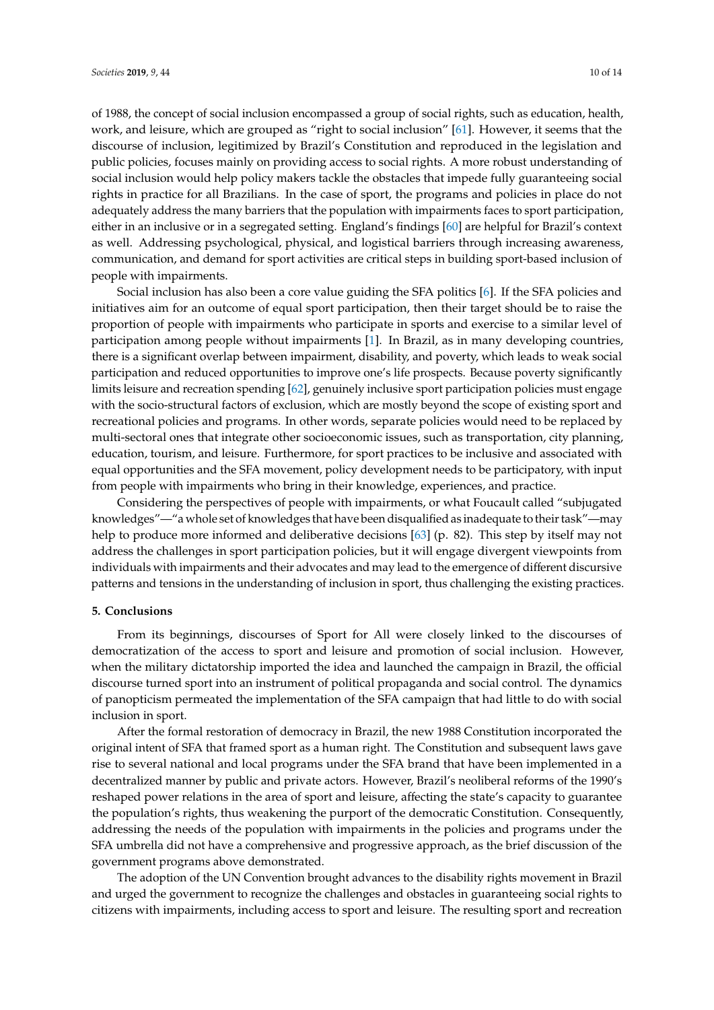of 1988, the concept of social inclusion encompassed a group of social rights, such as education, health, work, and leisure, which are grouped as "right to social inclusion" [\[61\]](#page-13-10). However, it seems that the discourse of inclusion, legitimized by Brazil's Constitution and reproduced in the legislation and public policies, focuses mainly on providing access to social rights. A more robust understanding of social inclusion would help policy makers tackle the obstacles that impede fully guaranteeing social rights in practice for all Brazilians. In the case of sport, the programs and policies in place do not adequately address the many barriers that the population with impairments faces to sport participation, either in an inclusive or in a segregated setting. England's findings [\[60\]](#page-13-9) are helpful for Brazil's context as well. Addressing psychological, physical, and logistical barriers through increasing awareness, communication, and demand for sport activities are critical steps in building sport-based inclusion of people with impairments.

Social inclusion has also been a core value guiding the SFA politics [\[6\]](#page-10-5). If the SFA policies and initiatives aim for an outcome of equal sport participation, then their target should be to raise the proportion of people with impairments who participate in sports and exercise to a similar level of participation among people without impairments [\[1\]](#page-10-0). In Brazil, as in many developing countries, there is a significant overlap between impairment, disability, and poverty, which leads to weak social participation and reduced opportunities to improve one's life prospects. Because poverty significantly limits leisure and recreation spending [\[62\]](#page-13-11), genuinely inclusive sport participation policies must engage with the socio-structural factors of exclusion, which are mostly beyond the scope of existing sport and recreational policies and programs. In other words, separate policies would need to be replaced by multi-sectoral ones that integrate other socioeconomic issues, such as transportation, city planning, education, tourism, and leisure. Furthermore, for sport practices to be inclusive and associated with equal opportunities and the SFA movement, policy development needs to be participatory, with input from people with impairments who bring in their knowledge, experiences, and practice.

Considering the perspectives of people with impairments, or what Foucault called "subjugated knowledges"—"a whole set of knowledges that have been disqualified as inadequate to their task"—may help to produce more informed and deliberative decisions [\[63\]](#page-13-12) (p. 82). This step by itself may not address the challenges in sport participation policies, but it will engage divergent viewpoints from individuals with impairments and their advocates and may lead to the emergence of different discursive patterns and tensions in the understanding of inclusion in sport, thus challenging the existing practices.

## **5. Conclusions**

From its beginnings, discourses of Sport for All were closely linked to the discourses of democratization of the access to sport and leisure and promotion of social inclusion. However, when the military dictatorship imported the idea and launched the campaign in Brazil, the official discourse turned sport into an instrument of political propaganda and social control. The dynamics of panopticism permeated the implementation of the SFA campaign that had little to do with social inclusion in sport.

After the formal restoration of democracy in Brazil, the new 1988 Constitution incorporated the original intent of SFA that framed sport as a human right. The Constitution and subsequent laws gave rise to several national and local programs under the SFA brand that have been implemented in a decentralized manner by public and private actors. However, Brazil's neoliberal reforms of the 1990's reshaped power relations in the area of sport and leisure, affecting the state's capacity to guarantee the population's rights, thus weakening the purport of the democratic Constitution. Consequently, addressing the needs of the population with impairments in the policies and programs under the SFA umbrella did not have a comprehensive and progressive approach, as the brief discussion of the government programs above demonstrated.

The adoption of the UN Convention brought advances to the disability rights movement in Brazil and urged the government to recognize the challenges and obstacles in guaranteeing social rights to citizens with impairments, including access to sport and leisure. The resulting sport and recreation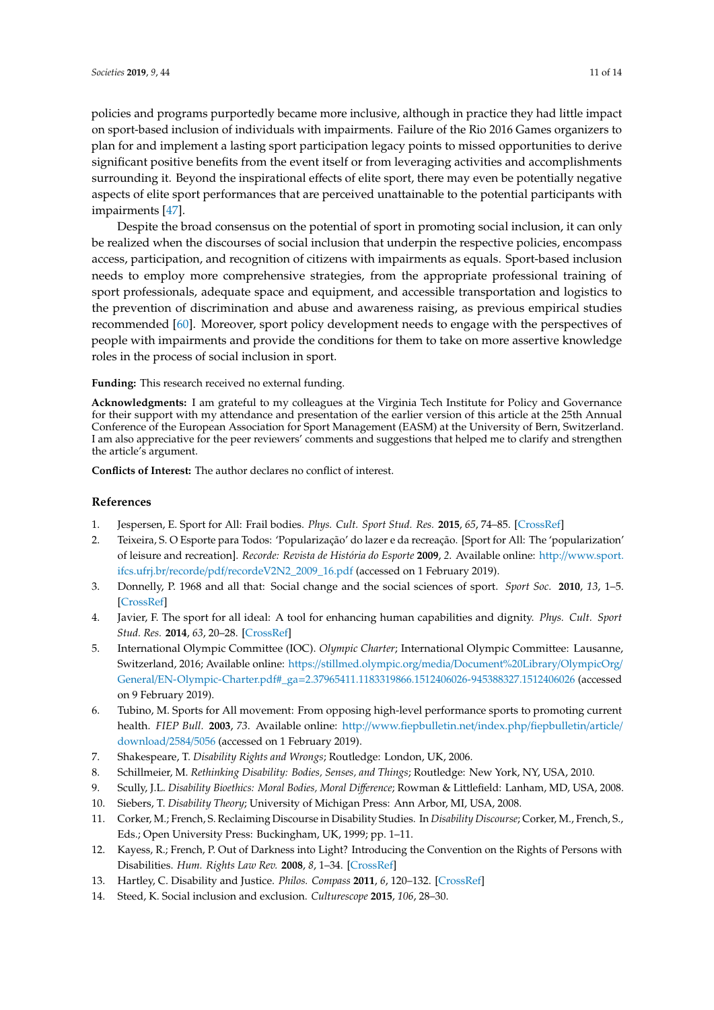policies and programs purportedly became more inclusive, although in practice they had little impact on sport-based inclusion of individuals with impairments. Failure of the Rio 2016 Games organizers to plan for and implement a lasting sport participation legacy points to missed opportunities to derive significant positive benefits from the event itself or from leveraging activities and accomplishments surrounding it. Beyond the inspirational effects of elite sport, there may even be potentially negative aspects of elite sport performances that are perceived unattainable to the potential participants with impairments [\[47\]](#page-12-12).

Despite the broad consensus on the potential of sport in promoting social inclusion, it can only be realized when the discourses of social inclusion that underpin the respective policies, encompass access, participation, and recognition of citizens with impairments as equals. Sport-based inclusion needs to employ more comprehensive strategies, from the appropriate professional training of sport professionals, adequate space and equipment, and accessible transportation and logistics to the prevention of discrimination and abuse and awareness raising, as previous empirical studies recommended [\[60\]](#page-13-9). Moreover, sport policy development needs to engage with the perspectives of people with impairments and provide the conditions for them to take on more assertive knowledge roles in the process of social inclusion in sport.

**Funding:** This research received no external funding.

**Acknowledgments:** I am grateful to my colleagues at the Virginia Tech Institute for Policy and Governance for their support with my attendance and presentation of the earlier version of this article at the 25th Annual Conference of the European Association for Sport Management (EASM) at the University of Bern, Switzerland. I am also appreciative for the peer reviewers' comments and suggestions that helped me to clarify and strengthen the article's argument.

**Conflicts of Interest:** The author declares no conflict of interest.

# **References**

- <span id="page-10-0"></span>1. Jespersen, E. Sport for All: Frail bodies. *Phys. Cult. Sport Stud. Res.* **2015**, *65*, 74–85. [\[CrossRef\]](http://dx.doi.org/10.1515/pcssr-2015-0013)
- <span id="page-10-1"></span>2. Teixeira, S. O Esporte para Todos: 'Popularização' do lazer e da recreação. [Sport for All: The 'popularization' of leisure and recreation]. *Recorde: Revista de História do Esporte* **2009**, *2*. Available online: http://[www.sport.](http://www.sport.ifcs.ufrj.br/recorde/pdf/recordeV2N2_2009_16.pdf) ifcs.ufrj.br/recorde/pdf/[recordeV2N2\\_2009\\_16.pdf](http://www.sport.ifcs.ufrj.br/recorde/pdf/recordeV2N2_2009_16.pdf) (accessed on 1 February 2019).
- <span id="page-10-2"></span>3. Donnelly, P. 1968 and all that: Social change and the social sciences of sport. *Sport Soc.* **2010**, *13*, 1–5. [\[CrossRef\]](http://dx.doi.org/10.1080/17430430903377649)
- <span id="page-10-3"></span>4. Javier, F. The sport for all ideal: A tool for enhancing human capabilities and dignity. *Phys. Cult. Sport Stud. Res.* **2014**, *63*, 20–28. [\[CrossRef\]](http://dx.doi.org/10.2478/pcssr-2014-0019)
- <span id="page-10-4"></span>5. International Olympic Committee (IOC). *Olympic Charter*; International Olympic Committee: Lausanne, Switzerland, 2016; Available online: https://stillmed.olympic.org/media/[Document%20Library](https://stillmed.olympic.org/media/Document%20Library/ OlympicOrg/General/EN-Olympic-Charter.pdf#_ga=2.37965411.1183319866.1512406026-945388327.1512406026)/OlympicOrg/ General/EN-Olympic-Charter.pdf#\_ga=[2.37965411.1183319866.1512406026-945388327.1512406026](https://stillmed.olympic.org/media/Document%20Library/ OlympicOrg/General/EN-Olympic-Charter.pdf#_ga=2.37965411.1183319866.1512406026-945388327.1512406026) (accessed on 9 February 2019).
- <span id="page-10-5"></span>6. Tubino, M. Sports for All movement: From opposing high-level performance sports to promoting current health. *FIEP Bull.* **2003**, *73*. Available online: http://[www.fiepbulletin.net](http://www.fiepbulletin.net/index.php /fiepbulletin/article/download/2584/5056)/index.php/fiepbulletin/article/ [download](http://www.fiepbulletin.net/index.php /fiepbulletin/article/download/2584/5056)/2584/5056 (accessed on 1 February 2019).
- <span id="page-10-6"></span>7. Shakespeare, T. *Disability Rights and Wrongs*; Routledge: London, UK, 2006.
- <span id="page-10-9"></span>8. Schillmeier, M. *Rethinking Disability: Bodies, Senses, and Things*; Routledge: New York, NY, USA, 2010.
- 9. Scully, J.L. *Disability Bioethics: Moral Bodies, Moral Di*ff*erence*; Rowman & Littlefield: Lanham, MD, USA, 2008.
- <span id="page-10-7"></span>10. Siebers, T. *Disability Theory*; University of Michigan Press: Ann Arbor, MI, USA, 2008.
- <span id="page-10-8"></span>11. Corker, M.; French, S. Reclaiming Discourse in Disability Studies. In *Disability Discourse*; Corker, M., French, S., Eds.; Open University Press: Buckingham, UK, 1999; pp. 1–11.
- <span id="page-10-10"></span>12. Kayess, R.; French, P. Out of Darkness into Light? Introducing the Convention on the Rights of Persons with Disabilities. *Hum. Rights Law Rev.* **2008**, *8*, 1–34. [\[CrossRef\]](http://dx.doi.org/10.1093/hrlr/ngm044)
- <span id="page-10-11"></span>13. Hartley, C. Disability and Justice. *Philos. Compass* **2011**, *6*, 120–132. [\[CrossRef\]](http://dx.doi.org/10.1111/j.1747-9991.2010.00375.x)
- <span id="page-10-12"></span>14. Steed, K. Social inclusion and exclusion. *Culturescope* **2015**, *106*, 28–30.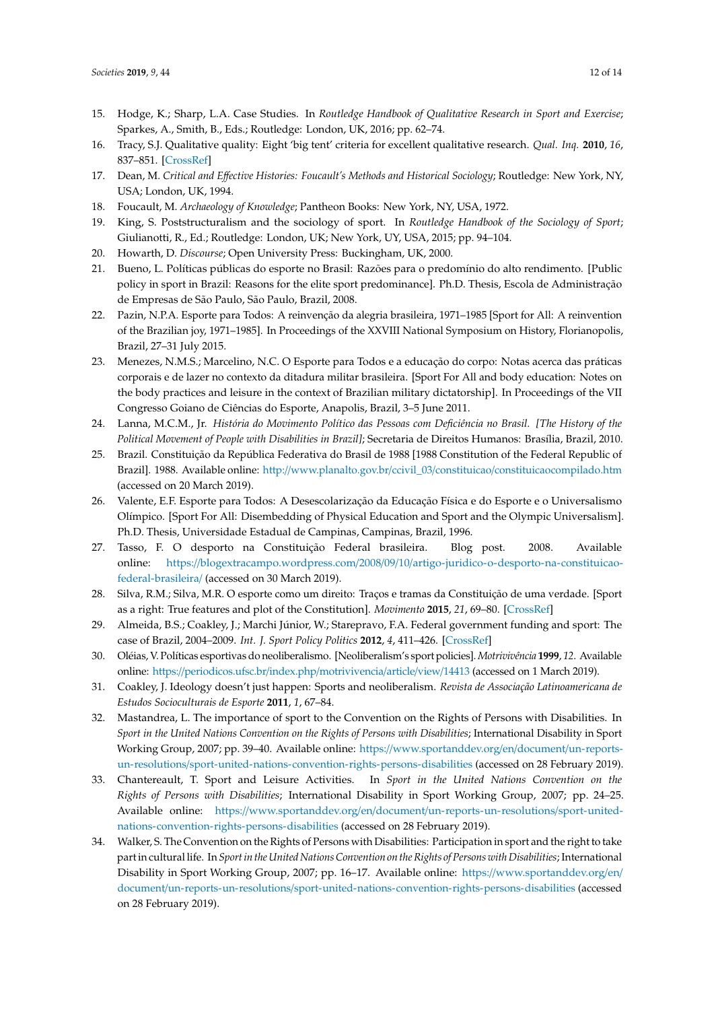- <span id="page-11-0"></span>15. Hodge, K.; Sharp, L.A. Case Studies. In *Routledge Handbook of Qualitative Research in Sport and Exercise*; Sparkes, A., Smith, B., Eds.; Routledge: London, UK, 2016; pp. 62–74.
- <span id="page-11-1"></span>16. Tracy, S.J. Qualitative quality: Eight 'big tent' criteria for excellent qualitative research. *Qual. Inq.* **2010**, *16*, 837–851. [\[CrossRef\]](http://dx.doi.org/10.1177/1077800410383121)
- <span id="page-11-2"></span>17. Dean, M. *Critical and E*ff*ective Histories: Foucault's Methods and Historical Sociology*; Routledge: New York, NY, USA; London, UK, 1994.
- <span id="page-11-3"></span>18. Foucault, M. *Archaeology of Knowledge*; Pantheon Books: New York, NY, USA, 1972.
- <span id="page-11-4"></span>19. King, S. Poststructuralism and the sociology of sport. In *Routledge Handbook of the Sociology of Sport*; Giulianotti, R., Ed.; Routledge: London, UK; New York, UY, USA, 2015; pp. 94–104.
- <span id="page-11-5"></span>20. Howarth, D. *Discourse*; Open University Press: Buckingham, UK, 2000.
- <span id="page-11-6"></span>21. Bueno, L. Políticas públicas do esporte no Brasil: Razões para o predomínio do alto rendimento. [Public policy in sport in Brazil: Reasons for the elite sport predominance]. Ph.D. Thesis, Escola de Administração de Empresas de São Paulo, São Paulo, Brazil, 2008.
- <span id="page-11-7"></span>22. Pazin, N.P.A. Esporte para Todos: A reinvenção da alegria brasileira, 1971–1985 [Sport for All: A reinvention of the Brazilian joy, 1971–1985]. In Proceedings of the XXVIII National Symposium on History, Florianopolis, Brazil, 27–31 July 2015.
- <span id="page-11-8"></span>23. Menezes, N.M.S.; Marcelino, N.C. O Esporte para Todos e a educação do corpo: Notas acerca das práticas corporais e de lazer no contexto da ditadura militar brasileira. [Sport For All and body education: Notes on the body practices and leisure in the context of Brazilian military dictatorship]. In Proceedings of the VII Congresso Goiano de Ciências do Esporte, Anapolis, Brazil, 3–5 June 2011.
- <span id="page-11-9"></span>24. Lanna, M.C.M., Jr. *História do Movimento Político das Pessoas com Deficiência no Brasil. [The History of the Political Movement of People with Disabilities in Brazil]*; Secretaria de Direitos Humanos: Brasília, Brazil, 2010.
- <span id="page-11-10"></span>25. Brazil. Constituição da República Federativa do Brasil de 1988 [1988 Constitution of the Federal Republic of Brazil]. 1988. Available online: http://www.planalto.gov.br/ccivil\_03/constituicao/[constituicaocompilado.htm](http://www.planalto.gov.br/ccivil_03/constituicao/ constituicaocompilado.htm) (accessed on 20 March 2019).
- <span id="page-11-11"></span>26. Valente, E.F. Esporte para Todos: A Desescolarização da Educação Física e do Esporte e o Universalismo Olímpico. [Sport For All: Disembedding of Physical Education and Sport and the Olympic Universalism]. Ph.D. Thesis, Universidade Estadual de Campinas, Campinas, Brazil, 1996.
- <span id="page-11-12"></span>27. Tasso, F. O desporto na Constituição Federal brasileira. Blog post. 2008. Available online: https://blogextracampo.wordpress.com/2008/09/10/[artigo-juridico-o-desporto-na-constituicao](https://blogextracampo.wordpress.com/2008/09/10/artigo-juridico-o-desporto-na-constituicao-federal-brasileira/)[federal-brasileira](https://blogextracampo.wordpress.com/2008/09/10/artigo-juridico-o-desporto-na-constituicao-federal-brasileira/)/ (accessed on 30 March 2019).
- <span id="page-11-13"></span>28. Silva, R.M.; Silva, M.R. O esporte como um direito: Traços e tramas da Constituição de uma verdade. [Sport as a right: True features and plot of the Constitution]. *Movimento* **2015**, *21*, 69–80. [\[CrossRef\]](http://dx.doi.org/10.22456/1982-8918.45935)
- <span id="page-11-14"></span>29. Almeida, B.S.; Coakley, J.; Marchi Júnior, W.; Starepravo, F.A. Federal government funding and sport: The case of Brazil, 2004–2009. *Int. J. Sport Policy Politics* **2012**, *4*, 411–426. [\[CrossRef\]](http://dx.doi.org/10.1080/19406940.2012.735687)
- <span id="page-11-15"></span>30. Oléias, V. Políticas esportivas do neoliberalismo. [Neoliberalism's sport policies]. *Motrivivência* **1999**, *12*. Available online: https://[periodicos.ufsc.br](https://periodicos.ufsc.br/index.php/motrivivencia/article/view/14413)/index.php/motrivivencia/article/view/14413 (accessed on 1 March 2019).
- <span id="page-11-16"></span>31. Coakley, J. Ideology doesn't just happen: Sports and neoliberalism. *Revista de Associação Latinoamericana de Estudos Socioculturais de Esporte* **2011**, *1*, 67–84.
- <span id="page-11-17"></span>32. Mastandrea, L. The importance of sport to the Convention on the Rights of Persons with Disabilities. In *Sport in the United Nations Convention on the Rights of Persons with Disabilities*; International Disability in Sport Working Group, 2007; pp. 39–40. Available online: https://[www.sportanddev.org](https://www.sportanddev.org/en/document /un-reports-un-resolutions/sport-united-nations-convention-rights-persons-disabilities)/en/document/un-reportsun-resolutions/[sport-united-nations-convention-rights-persons-disabilities](https://www.sportanddev.org/en/document /un-reports-un-resolutions/sport-united-nations-convention-rights-persons-disabilities) (accessed on 28 February 2019).
- <span id="page-11-18"></span>33. Chantereault, T. Sport and Leisure Activities. In *Sport in the United Nations Convention on the Rights of Persons with Disabilities*; International Disability in Sport Working Group, 2007; pp. 24–25. Available online: https://www.sportanddev.org/en/document/[un-reports-un-resolutions](https://www.sportanddev.org/en/document/un-reports-un-resolutions/ sport-united-nations-convention-rights-persons-disabilities)/sport-united[nations-convention-rights-persons-disabilities](https://www.sportanddev.org/en/document/un-reports-un-resolutions/ sport-united-nations-convention-rights-persons-disabilities) (accessed on 28 February 2019).
- <span id="page-11-19"></span>34. Walker, S. The Convention on the Rights of Persons with Disabilities: Participation in sport and the right to take part in cultural life. In *Sport in the United Nations Convention on the Rights of Persons with Disabilities*; International Disability in Sport Working Group, 2007; pp. 16–17. Available online: https://[www.sportanddev.org](https://www.sportanddev.org/en/document/un-reports-un-resolutions/ sport-united-nations-convention-rights-persons-disabilities)/en/ document/un-reports-un-resolutions/[sport-united-nations-convention-rights-persons-disabilities](https://www.sportanddev.org/en/document/un-reports-un-resolutions/ sport-united-nations-convention-rights-persons-disabilities) (accessed on 28 February 2019).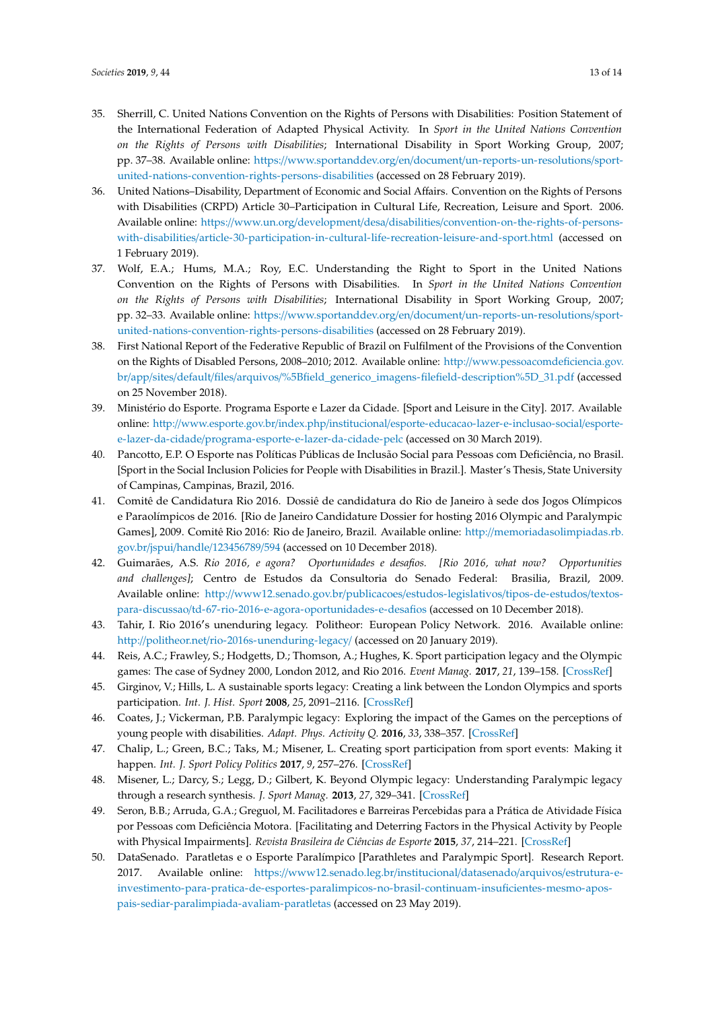- <span id="page-12-0"></span>35. Sherrill, C. United Nations Convention on the Rights of Persons with Disabilities: Position Statement of the International Federation of Adapted Physical Activity. In *Sport in the United Nations Convention on the Rights of Persons with Disabilities*; International Disability in Sport Working Group, 2007; pp. 37–38. Available online: https://www.sportanddev.org/en/document/[un-reports-un-resolutions](https://www.sportanddev.org/en/document/un-reports-un-resolutions/ sport-united-nations-convention-rights-persons-disabilities)/sport[united-nations-convention-rights-persons-disabilities](https://www.sportanddev.org/en/document/un-reports-un-resolutions/ sport-united-nations-convention-rights-persons-disabilities) (accessed on 28 February 2019).
- <span id="page-12-1"></span>36. United Nations–Disability, Department of Economic and Social Affairs. Convention on the Rights of Persons with Disabilities (CRPD) Article 30–Participation in Cultural Life, Recreation, Leisure and Sport. 2006. Available online: https://www.un.org/development/desa/disabilities/[convention-on-the-rights-of-persons](https://www.un.org/development/desa/disabilities/ convention-on-the-rights-of-persons-with-disabilities/article-30-participation-in-cultural-life-recreation-leisure-and-sport.html)with-disabilities/[article-30-participation-in-cultural-life-recreation-leisure-and-sport.html](https://www.un.org/development/desa/disabilities/ convention-on-the-rights-of-persons-with-disabilities/article-30-participation-in-cultural-life-recreation-leisure-and-sport.html) (accessed on 1 February 2019).
- <span id="page-12-2"></span>37. Wolf, E.A.; Hums, M.A.; Roy, E.C. Understanding the Right to Sport in the United Nations Convention on the Rights of Persons with Disabilities. In *Sport in the United Nations Convention on the Rights of Persons with Disabilities*; International Disability in Sport Working Group, 2007; pp. 32–33. Available online: https://www.sportanddev.org/en/document/[un-reports-un-resolutions](https://www.sportanddev.org/en/document/un-reports-un-resolutions/ sport-united-nations-convention-rights-persons-disabilities)/sport[united-nations-convention-rights-persons-disabilities](https://www.sportanddev.org/en/document/un-reports-un-resolutions/ sport-united-nations-convention-rights-persons-disabilities) (accessed on 28 February 2019).
- <span id="page-12-3"></span>38. First National Report of the Federative Republic of Brazil on Fulfilment of the Provisions of the Convention on the Rights of Disabled Persons, 2008–2010; 2012. Available online: http://[www.pessoacomdeficiencia.gov.](http://www.pessoacomdeficiencia.gov.br/app/sites/default/files/arquivos/%5Bfield_generico_imagens-filefield-description %5 D _31.pdf) br/app/sites/default/files/arquivos/[%5Bfield\\_generico\\_imagens-filefield-description%5D\\_31.pdf](http://www.pessoacomdeficiencia.gov.br/app/sites/default/files/arquivos/%5Bfield_generico_imagens-filefield-description %5 D _31.pdf) (accessed on 25 November 2018).
- <span id="page-12-4"></span>39. Ministério do Esporte. Programa Esporte e Lazer da Cidade. [Sport and Leisure in the City]. 2017. Available online: http://www.esporte.gov.br/index.php/institucional/[esporte-educacao-lazer-e-inclusao-social](http://www.esporte.gov.br/index.php/institucional/esporte-educacao-lazer-e-inclusao-social/ esporte-e-lazer-da-cidade/programa-esporte-e-lazer-da-cidade-pelc)/esportee-lazer-da-cidade/[programa-esporte-e-lazer-da-cidade-pelc](http://www.esporte.gov.br/index.php/institucional/esporte-educacao-lazer-e-inclusao-social/ esporte-e-lazer-da-cidade/programa-esporte-e-lazer-da-cidade-pelc) (accessed on 30 March 2019).
- <span id="page-12-5"></span>40. Pancotto, E.P. O Esporte nas Políticas Públicas de Inclusão Social para Pessoas com Deficiência, no Brasil. [Sport in the Social Inclusion Policies for People with Disabilities in Brazil.]. Master's Thesis, State University of Campinas, Campinas, Brazil, 2016.
- <span id="page-12-6"></span>41. Comitê de Candidatura Rio 2016. Dossiê de candidatura do Rio de Janeiro à sede dos Jogos Olímpicos e Paraolímpicos de 2016. [Rio de Janeiro Candidature Dossier for hosting 2016 Olympic and Paralympic Games], 2009. Comitê Rio 2016: Rio de Janeiro, Brazil. Available online: http://[memoriadasolimpiadas.rb.](http://memoriadasolimpiadas.rb.gov.br/jspui/handle/123456789/594) gov.br/jspui/handle/[123456789](http://memoriadasolimpiadas.rb.gov.br/jspui/handle/123456789/594)/594 (accessed on 10 December 2018).
- <span id="page-12-7"></span>42. Guimarães, A.S. *Rio 2016, e agora? Oportunidades e desafios. [Rio 2016, what now? Opportunities and challenges]*; Centro de Estudos da Consultoria do Senado Federal: Brasilia, Brazil, 2009. Available online: http://[www12.senado.gov.br](http://www12.senado.gov.br/publicacoes/estudos-legislativos/tipos-de-estudos/textos-para-discussao/td-67-rio-2016-e-agora-oportunidades-e-desafios)/publicacoes/estudos-legislativos/tipos-de-estudos/textospara-discussao/[td-67-rio-2016-e-agora-oportunidades-e-desafios](http://www12.senado.gov.br/publicacoes/estudos-legislativos/tipos-de-estudos/textos-para-discussao/td-67-rio-2016-e-agora-oportunidades-e-desafios) (accessed on 10 December 2018).
- <span id="page-12-8"></span>43. Tahir, I. Rio 2016's unenduring legacy. Politheor: European Policy Network. 2016. Available online: http://politheor.net/[rio-2016s-unenduring-legacy](http://politheor.net/rio-2016s-unenduring-legacy/)/ (accessed on 20 January 2019).
- <span id="page-12-9"></span>44. Reis, A.C.; Frawley, S.; Hodgetts, D.; Thomson, A.; Hughes, K. Sport participation legacy and the Olympic games: The case of Sydney 2000, London 2012, and Rio 2016. *Event Manag.* **2017**, *21*, 139–158. [\[CrossRef\]](http://dx.doi.org/10.3727/152599517X14878772869568)
- <span id="page-12-10"></span>45. Girginov, V.; Hills, L. A sustainable sports legacy: Creating a link between the London Olympics and sports participation. *Int. J. Hist. Sport* **2008**, *25*, 2091–2116. [\[CrossRef\]](http://dx.doi.org/10.1080/09523360802439015)
- <span id="page-12-11"></span>46. Coates, J.; Vickerman, P.B. Paralympic legacy: Exploring the impact of the Games on the perceptions of young people with disabilities. *Adapt. Phys. Activity Q.* **2016**, *33*, 338–357. [\[CrossRef\]](http://dx.doi.org/10.1123/APAQ.2014-0237)
- <span id="page-12-12"></span>47. Chalip, L.; Green, B.C.; Taks, M.; Misener, L. Creating sport participation from sport events: Making it happen. *Int. J. Sport Policy Politics* **2017**, *9*, 257–276. [\[CrossRef\]](http://dx.doi.org/10.1080/19406940.2016.1257496)
- <span id="page-12-13"></span>48. Misener, L.; Darcy, S.; Legg, D.; Gilbert, K. Beyond Olympic legacy: Understanding Paralympic legacy through a research synthesis. *J. Sport Manag.* **2013**, *27*, 329–341. [\[CrossRef\]](http://dx.doi.org/10.1123/jsm.27.4.329)
- <span id="page-12-14"></span>49. Seron, B.B.; Arruda, G.A.; Greguol, M. Facilitadores e Barreiras Percebidas para a Prática de Atividade Física por Pessoas com Deficiência Motora. [Facilitating and Deterring Factors in the Physical Activity by People with Physical Impairments]. *Revista Brasileira de Ciências de Esporte* **2015**, *37*, 214–221. [\[CrossRef\]](http://dx.doi.org/10.1016/j.rbce.2013.09.003)
- <span id="page-12-15"></span>50. DataSenado. Paratletas e o Esporte Paralímpico [Parathletes and Paralympic Sport]. Research Report. 2017. Available online: https://[www12.senado.leg.br](https://www12.senado.leg.br/institucional/datasenado/arquivos/ estrutura-e-investimento-para-pratica-de-esportes-paralimpicos-no-brasil-continuam-insuficientes-mesmo-apos-pais-sediar-paralimpiada-avaliam-paratletas)/institucional/datasenado/arquivos/estrutura-e[investimento-para-pratica-de-esportes-paralimpicos-no-brasil-continuam-insuficientes-mesmo-apos](https://www12.senado.leg.br/institucional/datasenado/arquivos/ estrutura-e-investimento-para-pratica-de-esportes-paralimpicos-no-brasil-continuam-insuficientes-mesmo-apos-pais-sediar-paralimpiada-avaliam-paratletas)[pais-sediar-paralimpiada-avaliam-paratletas](https://www12.senado.leg.br/institucional/datasenado/arquivos/ estrutura-e-investimento-para-pratica-de-esportes-paralimpicos-no-brasil-continuam-insuficientes-mesmo-apos-pais-sediar-paralimpiada-avaliam-paratletas) (accessed on 23 May 2019).